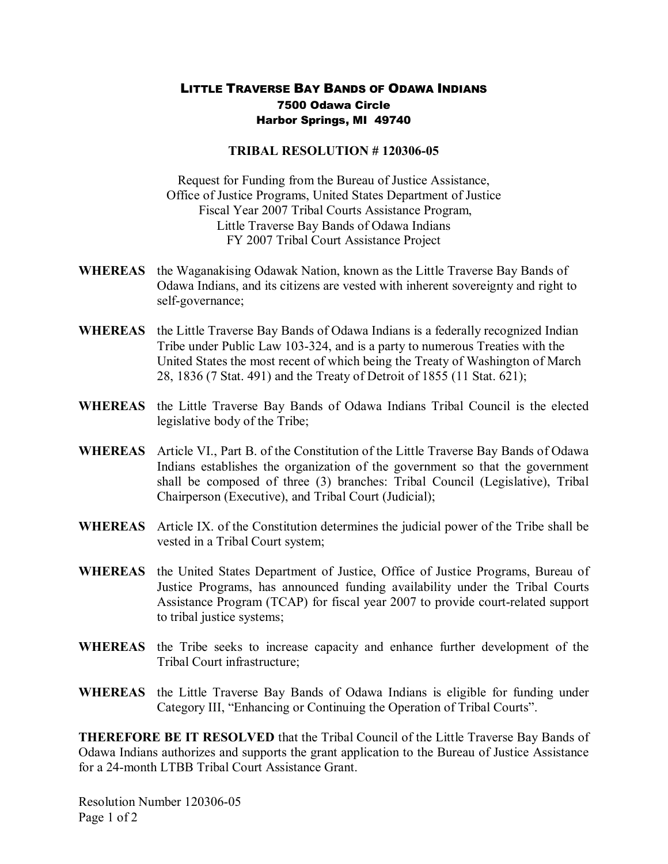## LITTLE TRAVERSE BAY BANDS OF ODAWA INDIANS 7500 Odawa Circle Harbor Springs, MI 49740

## **TRIBAL RESOLUTION #120306-05**

Request for Funding from the Bureau of Justice Assistance, Office of Justice Programs, United States Department of Justice Fiscal Year 2007 Tribal Courts Assistance Program, Little Traverse Bay Bands of Odawa Indians FY 2007 Tribal Court Assistance Project

- **WHEREAS** the Waganakising Odawak Nation, known as the Little Traverse Bay Bands of Odawa Indians, and its citizens are vested with inherent sovereignty and right to self-governance;
- **WHEREAS** the Little Traverse Bay Bands of Odawa Indians is a federally recognized Indian Tribe under Public Law 103-324, and is a party to numerous Treaties with the United States the most recent of which being the Treaty of Washington of March 28, 1836 (7 Stat. 491) and the Treaty of Detroit of 1855 (11 Stat. 621);
- **WHEREAS** the Little Traverse Bay Bands of Odawa Indians Tribal Council is the elected legislative body of the Tribe;
- **WHEREAS** Article VI., Part B. of the Constitution of the Little Traverse Bay Bands of Odawa Indians establishes the organization of the government so that the government shall be composed of three (3) branches: Tribal Council (Legislative), Tribal Chairperson (Executive), and Tribal Court (Judicial);
- **WHEREAS** Article IX. of the Constitution determines the judicial power of the Tribe shall be vested in a Tribal Court system;
- **WHEREAS** the United States Department of Justice, Office of Justice Programs, Bureau of Justice Programs, has announced funding availability under the Tribal Courts Assistance Program (TCAP) for fiscal year 2007 to provide court-related support to tribal justice systems;
- **WHEREAS** the Tribe seeks to increase capacity and enhance further development of the Tribal Court infrastructure;
- **WHEREAS** the Little Traverse Bay Bands of Odawa Indians is eligible for funding under Category III, "Enhancing or Continuing the Operation of Tribal Courts".

**THEREFORE BE IT RESOLVED** that the Tribal Council of the Little Traverse Bay Bands of Odawa Indians authorizes and supports the grant application to the Bureau of Justice Assistance for a 24-month LTBB Tribal Court Assistance Grant.